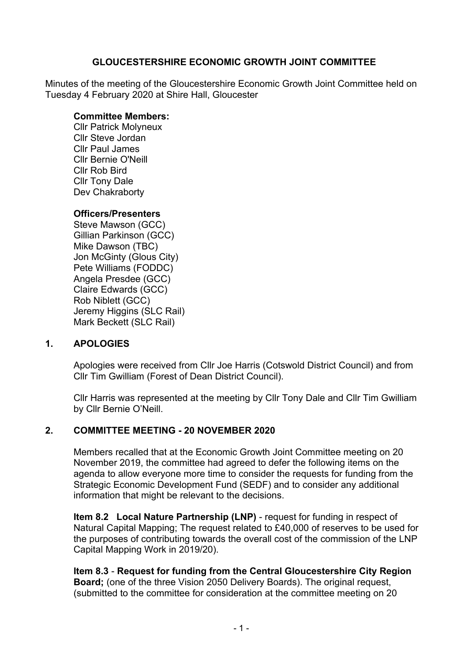# **GLOUCESTERSHIRE ECONOMIC GROWTH JOINT COMMITTEE**

Minutes of the meeting of the Gloucestershire Economic Growth Joint Committee held on Tuesday 4 February 2020 at Shire Hall, Gloucester

## **Committee Members:**

Cllr Patrick Molyneux Cllr Steve Jordan Cllr Paul James Cllr Bernie O'Neill Cllr Rob Bird Cllr Tony Dale Dev Chakraborty

## **Officers/Presenters**

Steve Mawson (GCC) Gillian Parkinson (GCC) Mike Dawson (TBC) Jon McGinty (Glous City) Pete Williams (FODDC) Angela Presdee (GCC) Claire Edwards (GCC) Rob Niblett (GCC) Jeremy Higgins (SLC Rail) Mark Beckett (SLC Rail)

# **1. APOLOGIES**

Apologies were received from Cllr Joe Harris (Cotswold District Council) and from Cllr Tim Gwilliam (Forest of Dean District Council).

Cllr Harris was represented at the meeting by Cllr Tony Dale and Cllr Tim Gwilliam by Cllr Bernie O'Neill.

# **2. COMMITTEE MEETING - 20 NOVEMBER 2020**

Members recalled that at the Economic Growth Joint Committee meeting on 20 November 2019, the committee had agreed to defer the following items on the agenda to allow everyone more time to consider the requests for funding from the Strategic Economic Development Fund (SEDF) and to consider any additional information that might be relevant to the decisions.

**Item 8.2 Local Nature Partnership (LNP)** - request for funding in respect of Natural Capital Mapping; The request related to £40,000 of reserves to be used for the purposes of contributing towards the overall cost of the commission of the LNP Capital Mapping Work in 2019/20).

**Item 8.3** - **Request for funding from the Central Gloucestershire City Region Board;** (one of the three Vision 2050 Delivery Boards). The original request, (submitted to the committee for consideration at the committee meeting on 20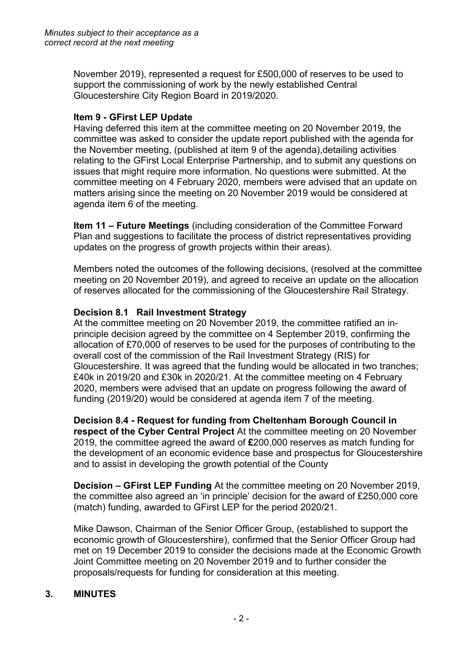November 2019), represented a request for £500,000 of reserves to be used to support the commissioning of work by the newly established Central Gloucestershire City Region Board in 2019/2020.

## **Item 9 - GFirst LEP Update**

Having deferred this item at the committee meeting on 20 November 2019, the committee was asked to consider the update report published with the agenda for the November meeting, (published at item 9 of the agenda),detailing activities relating to the GFirst Local Enterprise Partnership, and to submit any questions on issues that might require more information. No questions were submitted. At the committee meeting on 4 February 2020, members were advised that an update on matters arising since the meeting on 20 November 2019 would be considered at agenda item 6 of the meeting.

**Item 11 – Future Meetings** (including consideration of the Committee Forward Plan and suggestions to facilitate the process of district representatives providing updates on the progress of growth projects within their areas).

Members noted the outcomes of the following decisions, (resolved at the committee meeting on 20 November 2019), and agreed to receive an update on the allocation of reserves allocated for the commissioning of the Gloucestershire Rail Strategy.

## **Decision 8.1 Rail Investment Strategy**

At the committee meeting on 20 November 2019, the committee ratified an inprinciple decision agreed by the committee on 4 September 2019, confirming the allocation of £70,000 of reserves to be used for the purposes of contributing to the overall cost of the commission of the Rail Investment Strategy (RIS) for Gloucestershire. It was agreed that the funding would be allocated in two tranches; £40k in 2019/20 and £30k in 2020/21. At the committee meeting on 4 February 2020, members were advised that an update on progress following the award of funding (2019/20) would be considered at agenda item 7 of the meeting.

**Decision 8.4 - Request for funding from Cheltenham Borough Council in respect of the Cyber Central Project** At the committee meeting on 20 November 2019, the committee agreed the award of **£**200,000 reserves as match funding for the development of an economic evidence base and prospectus for Gloucestershire and to assist in developing the growth potential of the County

**Decision – GFirst LEP Funding** At the committee meeting on 20 November 2019, the committee also agreed an 'in principle' decision for the award of £250,000 core (match) funding, awarded to GFirst LEP for the period 2020/21.

Mike Dawson, Chairman of the Senior Officer Group, (established to support the economic growth of Gloucestershire), confirmed that the Senior Officer Group had met on 19 December 2019 to consider the decisions made at the Economic Growth Joint Committee meeting on 20 November 2019 and to further consider the proposals/requests for funding for consideration at this meeting.

#### **3. MINUTES**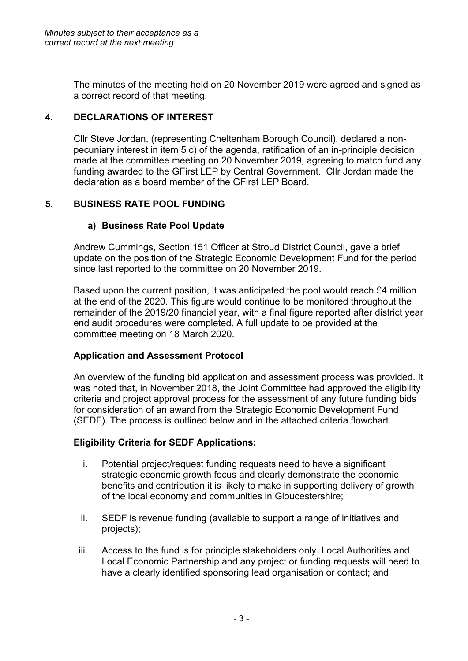The minutes of the meeting held on 20 November 2019 were agreed and signed as a correct record of that meeting.

## **4. DECLARATIONS OF INTEREST**

Cllr Steve Jordan, (representing Cheltenham Borough Council), declared a nonpecuniary interest in item 5 c) of the agenda, ratification of an in-principle decision made at the committee meeting on 20 November 2019, agreeing to match fund any funding awarded to the GFirst LEP by Central Government. Cllr Jordan made the declaration as a board member of the GFirst LEP Board.

## **5. BUSINESS RATE POOL FUNDING**

## **a) Business Rate Pool Update**

Andrew Cummings, Section 151 Officer at Stroud District Council, gave a brief update on the position of the Strategic Economic Development Fund for the period since last reported to the committee on 20 November 2019.

Based upon the current position, it was anticipated the pool would reach £4 million at the end of the 2020. This figure would continue to be monitored throughout the remainder of the 2019/20 financial year, with a final figure reported after district year end audit procedures were completed. A full update to be provided at the committee meeting on 18 March 2020.

#### **Application and Assessment Protocol**

An overview of the funding bid application and assessment process was provided. It was noted that, in November 2018, the Joint Committee had approved the eligibility criteria and project approval process for the assessment of any future funding bids for consideration of an award from the Strategic Economic Development Fund (SEDF). The process is outlined below and in the attached criteria flowchart.

#### **Eligibility Criteria for SEDF Applications:**

- i. Potential project/request funding requests need to have a significant strategic economic growth focus and clearly demonstrate the economic benefits and contribution it is likely to make in supporting delivery of growth of the local economy and communities in Gloucestershire;
- ii. SEDF is revenue funding (available to support a range of initiatives and projects);
- iii. Access to the fund is for principle stakeholders only. Local Authorities and Local Economic Partnership and any project or funding requests will need to have a clearly identified sponsoring lead organisation or contact; and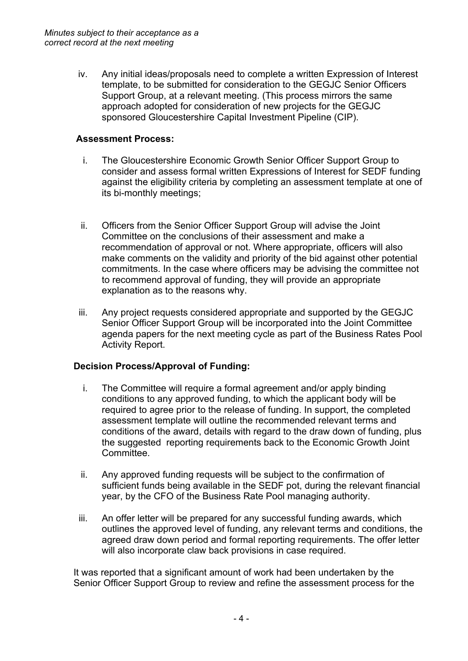iv. Any initial ideas/proposals need to complete a written Expression of Interest template, to be submitted for consideration to the GEGJC Senior Officers Support Group, at a relevant meeting. (This process mirrors the same approach adopted for consideration of new projects for the GEGJC sponsored Gloucestershire Capital Investment Pipeline (CIP).

#### **Assessment Process:**

- i. The Gloucestershire Economic Growth Senior Officer Support Group to consider and assess formal written Expressions of Interest for SEDF funding against the eligibility criteria by completing an assessment template at one of its bi-monthly meetings;
- ii. Officers from the Senior Officer Support Group will advise the Joint Committee on the conclusions of their assessment and make a recommendation of approval or not. Where appropriate, officers will also make comments on the validity and priority of the bid against other potential commitments. In the case where officers may be advising the committee not to recommend approval of funding, they will provide an appropriate explanation as to the reasons why.
- iii. Any project requests considered appropriate and supported by the GEGJC Senior Officer Support Group will be incorporated into the Joint Committee agenda papers for the next meeting cycle as part of the Business Rates Pool Activity Report.

# **Decision Process/Approval of Funding:**

- i. The Committee will require a formal agreement and/or apply binding conditions to any approved funding, to which the applicant body will be required to agree prior to the release of funding. In support, the completed assessment template will outline the recommended relevant terms and conditions of the award, details with regard to the draw down of funding, plus the suggested reporting requirements back to the Economic Growth Joint Committee.
- ii. Any approved funding requests will be subject to the confirmation of sufficient funds being available in the SEDF pot, during the relevant financial year, by the CFO of the Business Rate Pool managing authority.
- iii. An offer letter will be prepared for any successful funding awards, which outlines the approved level of funding, any relevant terms and conditions, the agreed draw down period and formal reporting requirements. The offer letter will also incorporate claw back provisions in case required.

It was reported that a significant amount of work had been undertaken by the Senior Officer Support Group to review and refine the assessment process for the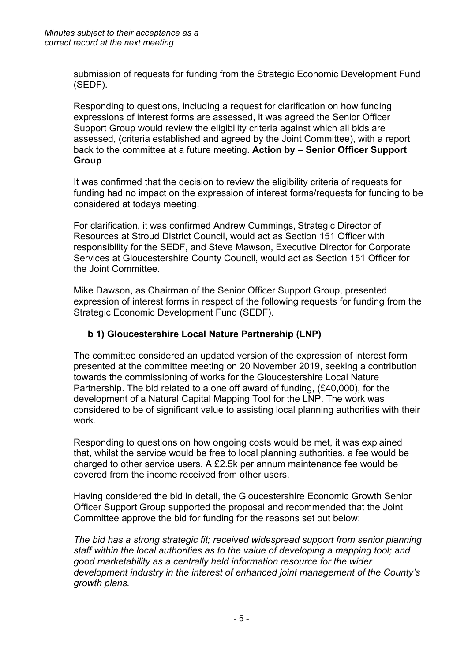submission of requests for funding from the Strategic Economic Development Fund (SEDF).

Responding to questions, including a request for clarification on how funding expressions of interest forms are assessed, it was agreed the Senior Officer Support Group would review the eligibility criteria against which all bids are assessed, (criteria established and agreed by the Joint Committee), with a report back to the committee at a future meeting. **Action by – Senior Officer Support Group**

It was confirmed that the decision to review the eligibility criteria of requests for funding had no impact on the expression of interest forms/requests for funding to be considered at todays meeting.

For clarification, it was confirmed Andrew Cummings, Strategic Director of Resources at Stroud District Council, would act as Section 151 Officer with responsibility for the SEDF, and Steve Mawson, Executive Director for Corporate Services at Gloucestershire County Council, would act as Section 151 Officer for the Joint Committee.

Mike Dawson, as Chairman of the Senior Officer Support Group, presented expression of interest forms in respect of the following requests for funding from the Strategic Economic Development Fund (SEDF).

# **b 1) Gloucestershire Local Nature Partnership (LNP)**

The committee considered an updated version of the expression of interest form presented at the committee meeting on 20 November 2019, seeking a contribution towards the commissioning of works for the Gloucestershire Local Nature Partnership. The bid related to a one off award of funding, (£40,000), for the development of a Natural Capital Mapping Tool for the LNP. The work was considered to be of significant value to assisting local planning authorities with their work.

Responding to questions on how ongoing costs would be met, it was explained that, whilst the service would be free to local planning authorities, a fee would be charged to other service users. A £2.5k per annum maintenance fee would be covered from the income received from other users.

Having considered the bid in detail, the Gloucestershire Economic Growth Senior Officer Support Group supported the proposal and recommended that the Joint Committee approve the bid for funding for the reasons set out below:

*The bid has a strong strategic fit; received widespread support from senior planning staff within the local authorities as to the value of developing a mapping tool; and good marketability as a centrally held information resource for the wider development industry in the interest of enhanced joint management of the County's growth plans.*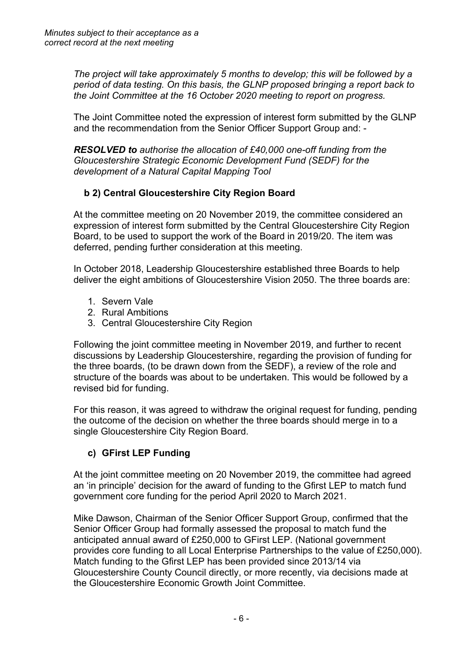*The project will take approximately 5 months to develop; this will be followed by a period of data testing. On this basis, the GLNP proposed bringing a report back to the Joint Committee at the 16 October 2020 meeting to report on progress.* 

The Joint Committee noted the expression of interest form submitted by the GLNP and the recommendation from the Senior Officer Support Group and: -

*RESOLVED to authorise the allocation of £40,000 one-off funding from the Gloucestershire Strategic Economic Development Fund (SEDF) for the development of a Natural Capital Mapping Tool*

# **b 2) Central Gloucestershire City Region Board**

At the committee meeting on 20 November 2019, the committee considered an expression of interest form submitted by the Central Gloucestershire City Region Board, to be used to support the work of the Board in 2019/20. The item was deferred, pending further consideration at this meeting.

In October 2018, Leadership Gloucestershire established three Boards to help deliver the eight ambitions of Gloucestershire Vision 2050. The three boards are:

- 1. Severn Vale
- 2. Rural Ambitions
- 3. Central Gloucestershire City Region

Following the joint committee meeting in November 2019, and further to recent discussions by Leadership Gloucestershire, regarding the provision of funding for the three boards, (to be drawn down from the SEDF), a review of the role and structure of the boards was about to be undertaken. This would be followed by a revised bid for funding.

For this reason, it was agreed to withdraw the original request for funding, pending the outcome of the decision on whether the three boards should merge in to a single Gloucestershire City Region Board.

# **c) GFirst LEP Funding**

At the joint committee meeting on 20 November 2019, the committee had agreed an 'in principle' decision for the award of funding to the Gfirst LEP to match fund government core funding for the period April 2020 to March 2021.

Mike Dawson, Chairman of the Senior Officer Support Group, confirmed that the Senior Officer Group had formally assessed the proposal to match fund the anticipated annual award of £250,000 to GFirst LEP. (National government provides core funding to all Local Enterprise Partnerships to the value of £250,000). Match funding to the Gfirst LEP has been provided since 2013/14 via Gloucestershire County Council directly, or more recently, via decisions made at the Gloucestershire Economic Growth Joint Committee.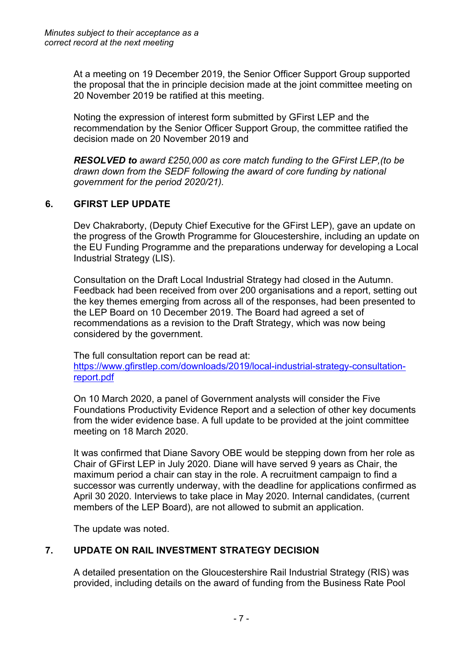At a meeting on 19 December 2019, the Senior Officer Support Group supported the proposal that the in principle decision made at the joint committee meeting on 20 November 2019 be ratified at this meeting.

Noting the expression of interest form submitted by GFirst LEP and the recommendation by the Senior Officer Support Group, the committee ratified the decision made on 20 November 2019 and

*RESOLVED to award £250,000 as core match funding to the GFirst LEP,(to be drawn down from the SEDF following the award of core funding by national government for the period 2020/21).* 

# **6. GFIRST LEP UPDATE**

Dev Chakraborty, (Deputy Chief Executive for the GFirst LEP), gave an update on the progress of the Growth Programme for Gloucestershire, including an update on the EU Funding Programme and the preparations underway for developing a Local Industrial Strategy (LIS).

Consultation on the Draft Local Industrial Strategy had closed in the Autumn. Feedback had been received from over 200 organisations and a report, setting out the key themes emerging from across all of the responses, had been presented to the LEP Board on 10 December 2019. The Board had agreed a set of recommendations as a revision to the Draft Strategy, which was now being considered by the government.

The full consultation report can be read at: [https://www.gfirstlep.com/downloads/2019/local-industrial-strategy-consultation](https://www.gfirstlep.com/downloads/2019/local-industrial-strategy-consultation-report.pdf)[report.pdf](https://www.gfirstlep.com/downloads/2019/local-industrial-strategy-consultation-report.pdf)

On 10 March 2020, a panel of Government analysts will consider the Five Foundations Productivity Evidence Report and a selection of other key documents from the wider evidence base. A full update to be provided at the joint committee meeting on 18 March 2020.

It was confirmed that Diane Savory OBE would be stepping down from her role as Chair of GFirst LEP in July 2020. Diane will have served 9 years as Chair, the maximum period a chair can stay in the role. A recruitment campaign to find a successor was currently underway, with the deadline for applications confirmed as April 30 2020. Interviews to take place in May 2020. Internal candidates, (current members of the LEP Board), are not allowed to submit an application.

The update was noted.

# **7. UPDATE ON RAIL INVESTMENT STRATEGY DECISION**

A detailed presentation on the Gloucestershire Rail Industrial Strategy (RIS) was provided, including details on the award of funding from the Business Rate Pool